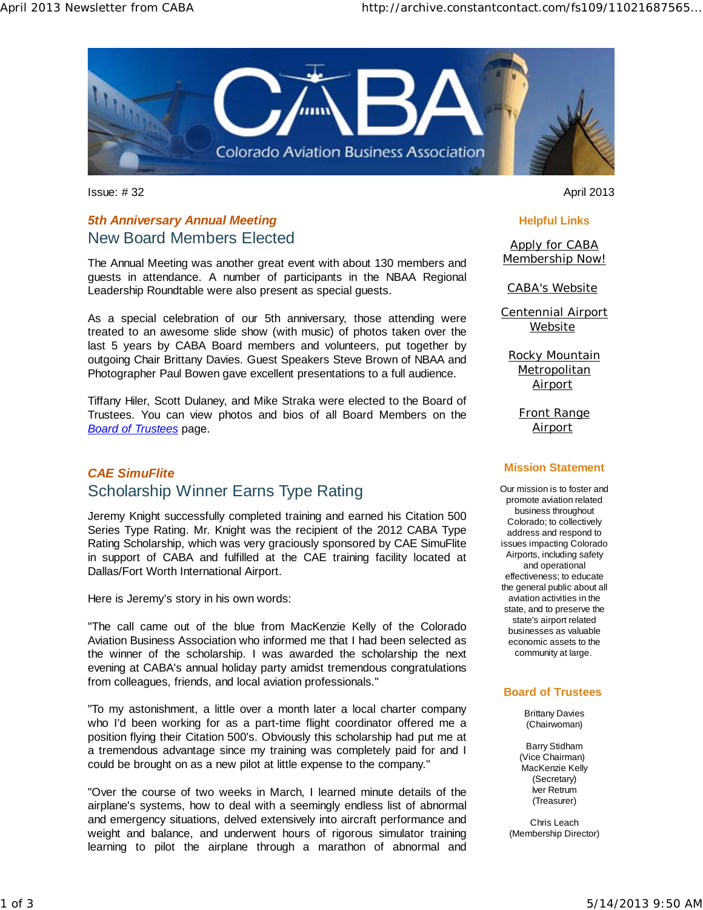

Issue: # 32 April 2013

# *5th Anniversary Annual Meeting*  New Board Members Elected

The Annual Meeting was another great event with about 130 members and guests in attendance. A number of participants in the NBAA Regional Leadership Roundtable were also present as special guests.

As a special celebration of our 5th anniversary, those attending were treated to an awesome slide show (with music) of photos taken over the last 5 years by CABA Board members and volunteers, put together by outgoing Chair Brittany Davies. Guest Speakers Steve Brown of NBAA and Photographer Paul Bowen gave excellent presentations to a full audience.

Tiffany Hiler, Scott Dulaney, and Mike Straka were elected to the Board of Trustees. You can view photos and bios of all Board Members on the *Board of Trustees* page.

# *CAE SimuFlite*  Scholarship Winner Earns Type Rating

Jeremy Knight successfully completed training and earned his Citation 500 Series Type Rating. Mr. Knight was the recipient of the 2012 CABA Type Rating Scholarship, which was very graciously sponsored by CAE SimuFlite in support of CABA and fulfilled at the CAE training facility located at Dallas/Fort Worth International Airport.

Here is Jeremy's story in his own words:

"The call came out of the blue from MacKenzie Kelly of the Colorado Aviation Business Association who informed me that I had been selected as the winner of the scholarship. I was awarded the scholarship the next evening at CABA's annual holiday party amidst tremendous congratulations from colleagues, friends, and local aviation professionals."

"To my astonishment, a little over a month later a local charter company who I'd been working for as a part-time flight coordinator offered me a position flying their Citation 500's. Obviously this scholarship had put me at a tremendous advantage since my training was completely paid for and I could be brought on as a new pilot at little expense to the company."

"Over the course of two weeks in March, I learned minute details of the airplane's systems, how to deal with a seemingly endless list of abnormal and emergency situations, delved extensively into aircraft performance and weight and balance, and underwent hours of rigorous simulator training learning to pilot the airplane through a marathon of abnormal and

#### **Helpful Links**

**Apply for CABA** Membership Now!

CABA's Website

Centennial Airport Website

Rocky Mountain **Metropolitan** Airport

Front Range Airport

#### **Mission Statement**

Our mission is to foster and promote aviation related business throughout Colorado; to collectively address and respond to issues impacting Colorado Airports, including safety and operational effectiveness; to educate the general public about all aviation activities in the state, and to preserve the state's airport related businesses as valuable economic assets to the community at large.

#### **Board of Trustees**

Brittany Davies (Chairwoman)

Barry Stidham (Vice Chairman) MacKenzie Kelly (Secretary) Iver Retrum (Treasurer)

Chris Leach (Membership Director)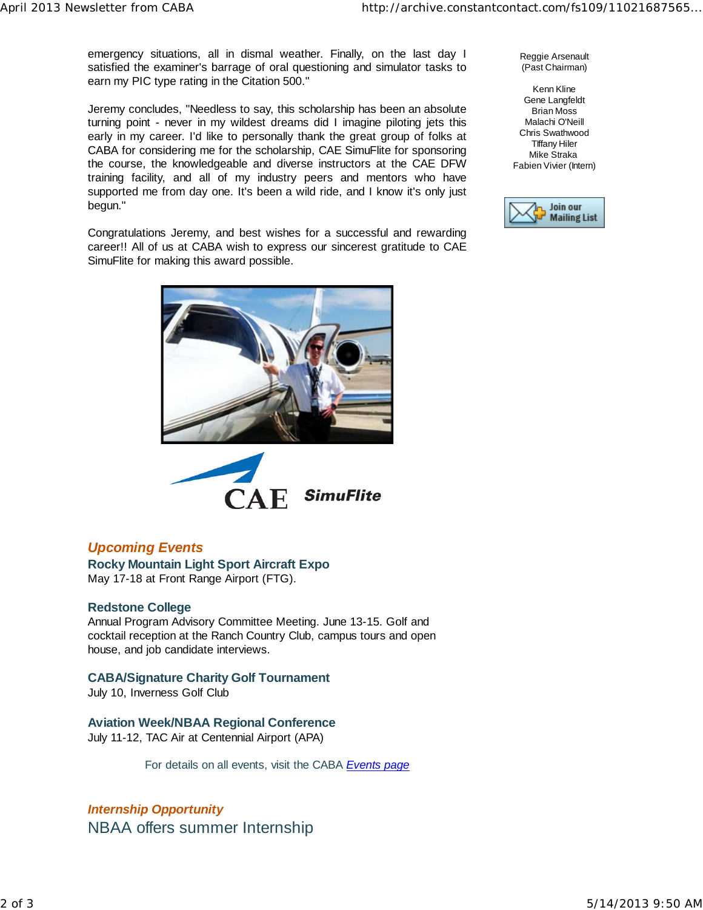emergency situations, all in dismal weather. Finally, on the last day I satisfied the examiner's barrage of oral questioning and simulator tasks to earn my PIC type rating in the Citation 500."

Jeremy concludes, "Needless to say, this scholarship has been an absolute turning point - never in my wildest dreams did I imagine piloting jets this early in my career. I'd like to personally thank the great group of folks at CABA for considering me for the scholarship, CAE SimuFlite for sponsoring the course, the knowledgeable and diverse instructors at the CAE DFW training facility, and all of my industry peers and mentors who have supported me from day one. It's been a wild ride, and I know it's only just begun."

Congratulations Jeremy, and best wishes for a successful and rewarding career!! All of us at CABA wish to express our sincerest gratitude to CAE SimuFlite for making this award possible.





## *Upcoming Events*

**Rocky Mountain Light Sport Aircraft Expo**  May 17-18 at Front Range Airport (FTG).

#### **Redstone College**

Annual Program Advisory Committee Meeting. June 13-15. Golf and cocktail reception at the Ranch Country Club, campus tours and open house, and job candidate interviews.

## **CABA/Signature Charity Golf Tournament**

July 10, Inverness Golf Club

**Aviation Week/NBAA Regional Conference**  July 11-12, TAC Air at Centennial Airport (APA)

For details on all events, visit the CABA *Events page*

*Internship Opportunity*  NBAA offers summer Internship Reggie Arsenault (Past Chairman)

Kenn Kline Gene Langfeldt Brian Moss Malachi O'Neill Chris Swathwood TIffany Hiler Mike Straka Fabien Vivier (Intern)